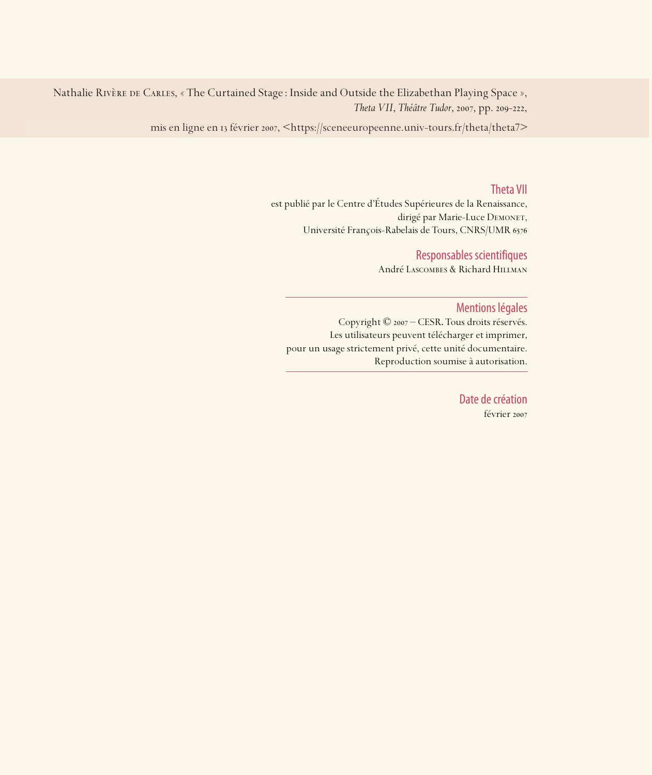Nathalie RIVÈRE DE CARLES, « The Curtained Stage : Inside and Outside the Elizabethan Playing Space », *Theta VII*, *Théâtre Tudor*, 2007, pp. 209-222,

mis en ligne en 13 février 2007, <https://sceneeuropeenne.univ-tours.fr/theta/theta7>

#### Theta VII

est publié par le Centre d'Études Supérieures de la Renaissance, dirigé par Marie-Luce DEMONET, Université François-Rabelais de Tours, CNRS/UMR

#### Responsables scientifiques

André Lascombes & Richard Hillman

#### Mentions légales

Copyright © 2007 – CESR. Tous droits réservés. Les utilisateurs peuvent télécharger et imprimer, pour un usage strictement privé, cette unité documentaire. Reproduction soumise à autorisation.

> Date de création février 2007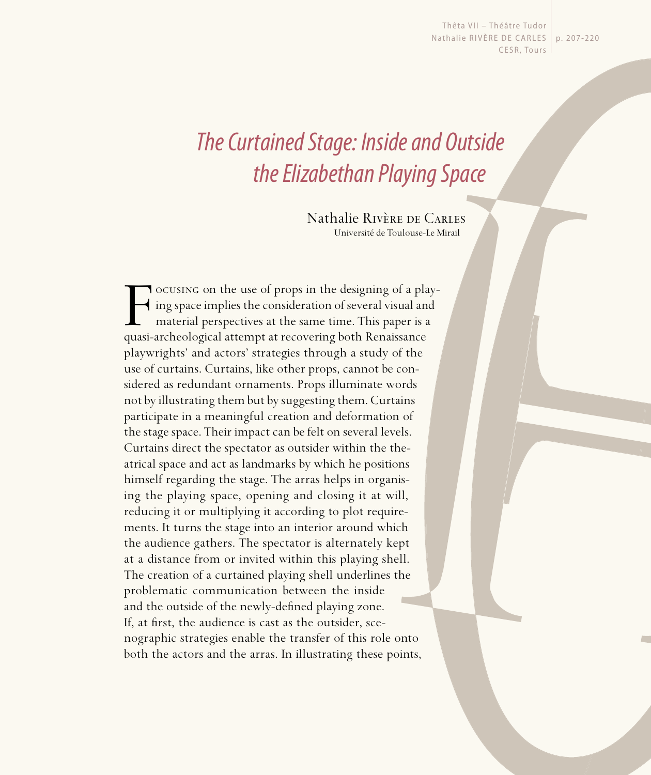Thêta VII - Théâtre Tudor Nathalie RIVÈRE DE CARLES | p. 207-220 CESR, Tours

# The Curtained Stage: Inside and Outside the Elizabethan Playing Space

Nathalie Rivère de Carles Université de Toulouse-Le Mirail

F ocusing on the use of props in the designing of a play-<br>ing space implies the consideration of several visual and<br>material perspectives at the same time. This paper is a<br>quasi-archeological attempt at recovering both Ren ing space implies the consideration of several visual and material perspectives at the same time. This paper is a quasi-archeological attempt at recovering both Renaissance playwrights' and actors' strategies through a study of the use of curtains. Curtains, like other props, cannot be considered as redundant ornaments. Props illuminate words not by illustrating them but by suggesting them. Curtains participate in a meaningful creation and deformation of the stage space. Their impact can be felt on several levels. Curtains direct the spectator as outsider within the theatrical space and act as landmarks by which he positions himself regarding the stage. The arras helps in organising the playing space, opening and closing it at will, reducing it or multiplying it according to plot requirements. It turns the stage into an interior around which the audience gathers. The spectator is alternately kept at a distance from or invited within this playing shell. The creation of a curtained playing shell underlines the problematic communication between the inside and the outside of the newly-defined playing zone. If, at first, the audience is cast as the outsider, scenographic strategies enable the transfer of this role onto both the actors and the arras. In illustrating these points,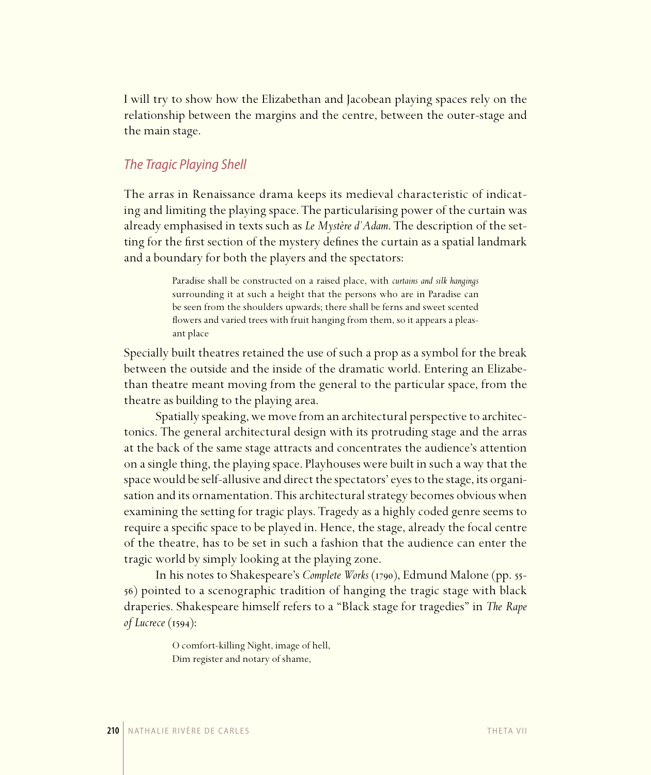I will try to show how the Elizabethan and Jacobean playing spaces rely on the relationship between the margins and the centre, between the outer-stage and the main stage.

# The Tragic Playing Shell

The arras in Renaissance drama keeps its medieval characteristic of indicating and limiting the playing space. The particularising power of the curtain was already emphasised in texts such as *Le Mystère d'Adam*. The description of the setting for the first section of the mystery defines the curtain as a spatial landmark and a boundary for both the players and the spectators:

> Paradise shall be constructed on a raised place, with *curtains and silk hangings* surrounding it at such a height that the persons who are in Paradise can be seen from the shoulders upwards; there shall be ferns and sweet scented flowers and varied trees with fruit hanging from them, so it appears a pleasant place

Specially built theatres retained the use of such a prop as a symbol for the break between the outside and the inside of the dramatic world. Entering an Elizabethan theatre meant moving from the general to the particular space, from the theatre as building to the playing area.

Spatially speaking, we move from an architectural perspective to architectonics. The general architectural design with its protruding stage and the arras at the back of the same stage attracts and concentrates the audience's attention on a single thing, the playing space. Playhouses were built in such a way that the space would be self-allusive and direct the spectators' eyes to the stage, its organisation and its ornamentation. This architectural strategy becomes obvious when examining the setting for tragic plays. Tragedy as a highly coded genre seems to require a specific space to be played in. Hence, the stage, already the focal centre of the theatre, has to be set in such a fashion that the audience can enter the tragic world by simply looking at the playing zone.

In his notes to Shakespeare's *Complete Works* (1790), Edmund Malone (pp. 55– ) pointed to a scenographic tradition of hanging the tragic stage with black draperies. Shakespeare himself refers to a "Black stage for tragedies" in *The Rape of Lucrece* (1594):

> O comfort-killing Night, image of hell, Dim register and notary of shame,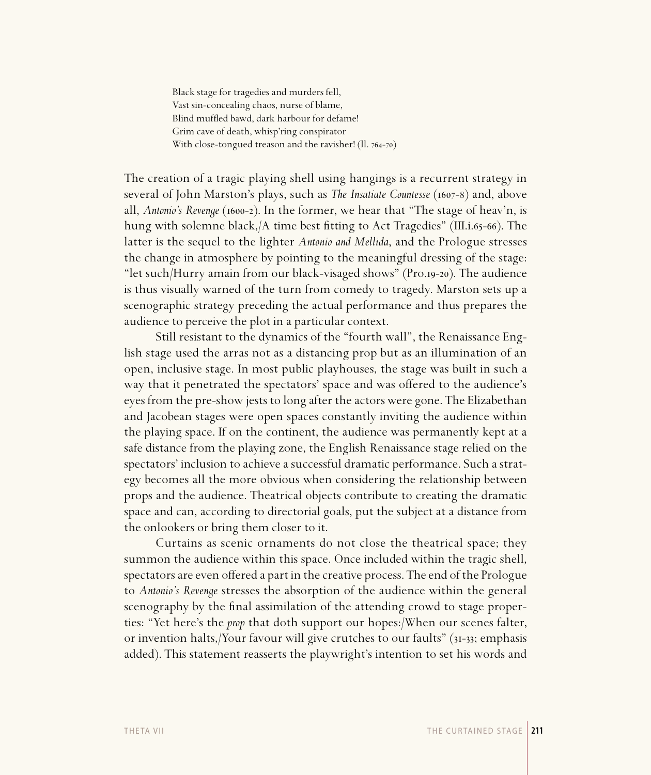Black stage for tragedies and murders fell, Vast sin-concealing chaos, nurse of blame, Blind muffled bawd, dark harbour for defame! Grim cave of death, whisp'ring conspirator With close-tongued treason and the ravisher!  $(II. 764-70)$ 

The creation of a tragic playing shell using hangings is a recurrent strategy in several of John Marston's plays, such as *The Insatiate Countesse* (1607-8) and, above all, *Antonio's Revenge* (1600–2). In the former, we hear that "The stage of heav'n, is hung with solemne black, $/A$  time best fitting to Act Tragedies" (III.i.65-66). The latter is the sequel to the lighter *Antonio and Mellida*, and the Prologue stresses the change in atmosphere by pointing to the meaningful dressing of the stage: "let such/Hurry amain from our black-visaged shows" (Pro.19-20). The audience is thus visually warned of the turn from comedy to tragedy. Marston sets up a scenographic strategy preceding the actual performance and thus prepares the audience to perceive the plot in a particular context.

Still resistant to the dynamics of the "fourth wall", the Renaissance English stage used the arras not as a distancing prop but as an illumination of an open, inclusive stage. In most public playhouses, the stage was built in such a way that it penetrated the spectators' space and was offered to the audience's eyes from the pre-show jests to long after the actors were gone. The Elizabethan and Jacobean stages were open spaces constantly inviting the audience within the playing space. If on the continent, the audience was permanently kept at a safe distance from the playing zone, the English Renaissance stage relied on the spectators' inclusion to achieve a successful dramatic performance. Such a strategy becomes all the more obvious when considering the relationship between props and the audience. Theatrical objects contribute to creating the dramatic space and can, according to directorial goals, put the subject at a distance from the onlookers or bring them closer to it.

Curtains as scenic ornaments do not close the theatrical space; they summon the audience within this space. Once included within the tragic shell, spectators are even offered a part in the creative process. The end of the Prologue to *Antonio's Revenge* stresses the absorption of the audience within the general scenography by the final assimilation of the attending crowd to stage properties: "Yet here's the *prop* that doth support our hopes:/When our scenes falter, or invention halts, Your favour will give crutches to our faults" (31-33; emphasis added). This statement reasserts the playwright's intention to set his words and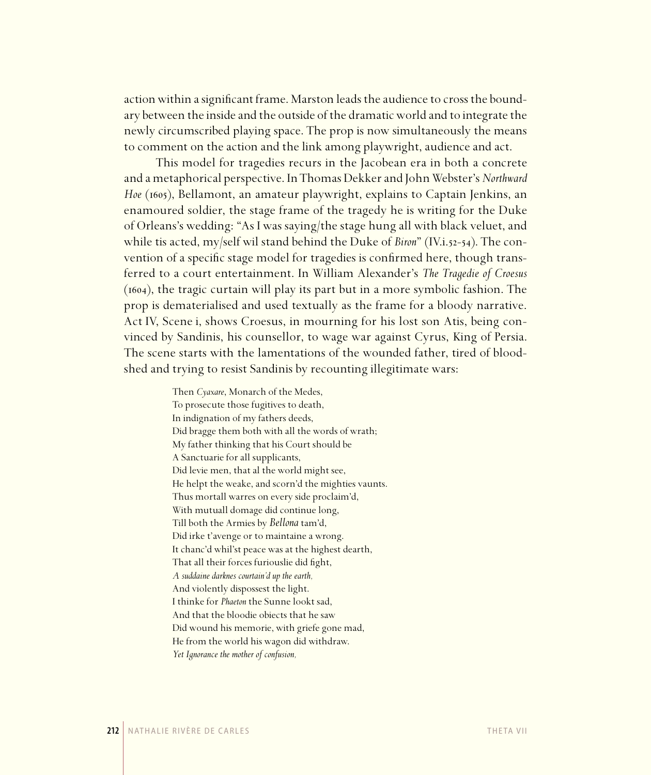action within a significant frame. Marston leads the audience to cross the boundary between the inside and the outside of the dramatic world and to integrate the newly circumscribed playing space. The prop is now simultaneously the means to comment on the action and the link among playwright, audience and act.

This model for tragedies recurs in the Jacobean era in both a concrete and a metaphorical perspective. In Thomas Dekker and John Webster's *Northward Hoe* (1605), Bellamont, an amateur playwright, explains to Captain Jenkins, an enamoured soldier, the stage frame of the tragedy he is writing for the Duke of Orleans's wedding: "As I was saying/the stage hung all with black veluet, and while tis acted, my/self wil stand behind the Duke of *Biron*" (IV.i.52-54). The convention of a specific stage model for tragedies is confirmed here, though transferred to a court entertainment. In William Alexander's *The Tragedie of Croesus*  $(1604)$ , the tragic curtain will play its part but in a more symbolic fashion. The prop is dematerialised and used textually as the frame for a bloody narrative. Act IV, Scene i, shows Croesus, in mourning for his lost son Atis, being convinced by Sandinis, his counsellor, to wage war against Cyrus, King of Persia. The scene starts with the lamentations of the wounded father, tired of bloodshed and trying to resist Sandinis by recounting illegitimate wars:

> Then *Cyaxare*, Monarch of the Medes, To prosecute those fugitives to death, In indignation of my fathers deeds, Did bragge them both with all the words of wrath; My father thinking that his Court should be A Sanctuarie for all supplicants, Did levie men, that al the world might see, He helpt the weake, and scorn'd the mighties vaunts. Thus mortall warres on every side proclaim'd, With mutuall domage did continue long, Till both the Armies by *Bellona* tam'd, Did irke t'avenge or to maintaine a wrong. It chanc'd whil'st peace was at the highest dearth, That all their forces furiouslie did fight, *A suddaine darknes courtain'd up the earth,* And violently dispossest the light. I thinke for *Phaeton* the Sunne lookt sad, And that the bloodie obiects that he saw Did wound his memorie, with griefe gone mad, He from the world his wagon did withdraw. *Yet Ignorance the mother of confusion,*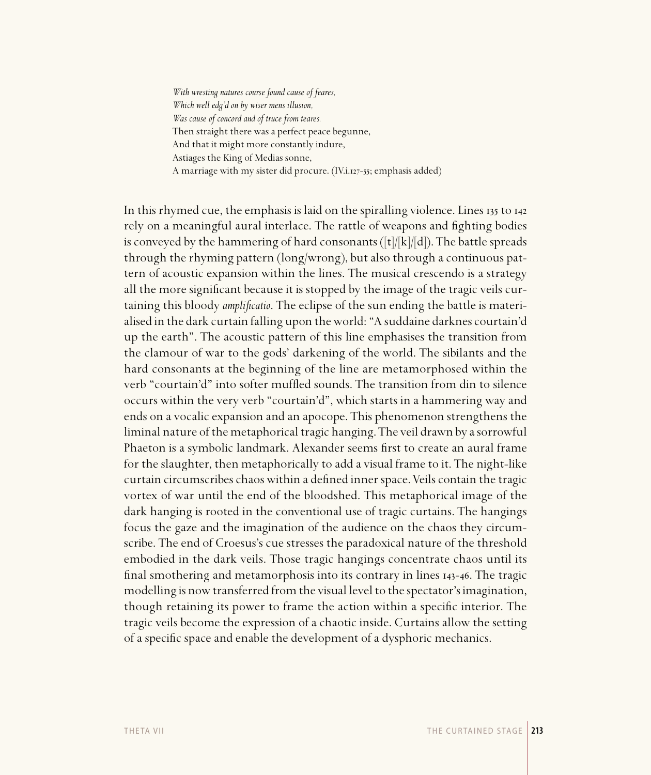*With wresting natures course found cause of feares, Which well edg'd on by wiser mens illusion, Was cause of concord and of truce from teares.* Then straight there was a perfect peace begunne, And that it might more constantly indure, Astiages the King of Medias sonne, A marriage with my sister did procure. (IV.i.127-55; emphasis added)

In this rhymed cue, the emphasis is laid on the spiralling violence. Lines  $\frac{1}{12}$  to  $\frac{1}{42}$ rely on a meaningful aural interlace. The rattle of weapons and fighting bodies is conveyed by the hammering of hard consonants ( $[t]/[k]/[d]$ ). The battle spreads through the rhyming pattern (long/wrong), but also through a continuous pattern of acoustic expansion within the lines. The musical crescendo is a strategy all the more significant because it is stopped by the image of the tragic veils curtaining this bloody *amplificatio*. The eclipse of the sun ending the battle is materialised in the dark curtain falling upon the world: "A suddaine darknes courtain'd up the earth". The acoustic pattern of this line emphasises the transition from the clamour of war to the gods' darkening of the world. The sibilants and the hard consonants at the beginning of the line are metamorphosed within the verb "courtain'd" into softer muffled sounds. The transition from din to silence occurs within the very verb "courtain'd", which starts in a hammering way and ends on a vocalic expansion and an apocope. This phenomenon strengthens the liminal nature of the metaphorical tragic hanging. The veil drawn by a sorrowful Phaeton is a symbolic landmark. Alexander seems first to create an aural frame for the slaughter, then metaphorically to add a visual frame to it. The night-like curtain circumscribes chaos within a defined inner space. Veils contain the tragic vortex of war until the end of the bloodshed. This metaphorical image of the dark hanging is rooted in the conventional use of tragic curtains. The hangings focus the gaze and the imagination of the audience on the chaos they circumscribe. The end of Croesus's cue stresses the paradoxical nature of the threshold embodied in the dark veils. Those tragic hangings concentrate chaos until its final smothering and metamorphosis into its contrary in lines  $_{143-46}$ . The tragic modelling is now transferred from the visual level to the spectator's imagination, though retaining its power to frame the action within a specific interior. The tragic veils become the expression of a chaotic inside. Curtains allow the setting of a specific space and enable the development of a dysphoric mechanics.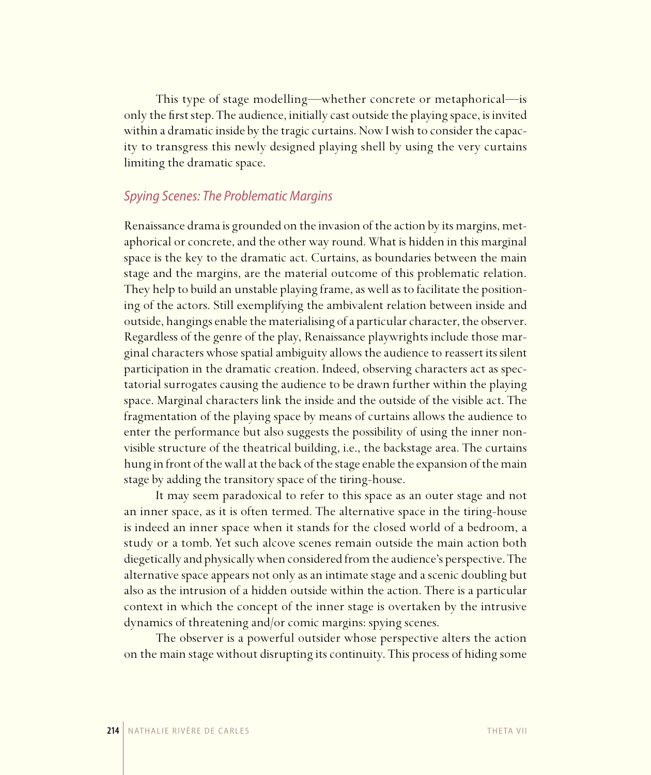This type of stage modelling—whether concrete or metaphorical—is only the first step. The audience, initially cast outside the playing space, is invited within a dramatic inside by the tragic curtains. Now I wish to consider the capacity to transgress this newly designed playing shell by using the very curtains limiting the dramatic space.

## Spying Scenes: The Problematic Margins

Renaissance drama is grounded on the invasion of the action by its margins, metaphorical or concrete, and the other way round. What is hidden in this marginal space is the key to the dramatic act. Curtains, as boundaries between the main stage and the margins, are the material outcome of this problematic relation. They help to build an unstable playing frame, as well as to facilitate the positioning of the actors. Still exemplifying the ambivalent relation between inside and outside, hangings enable the materialising of a particular character, the observer. Regardless of the genre of the play, Renaissance playwrights include those marginal characters whose spatial ambiguity allows the audience to reassert its silent participation in the dramatic creation. Indeed, observing characters act as spectatorial surrogates causing the audience to be drawn further within the playing space. Marginal characters link the inside and the outside of the visible act. The fragmentation of the playing space by means of curtains allows the audience to enter the performance but also suggests the possibility of using the inner nonvisible structure of the theatrical building, i.e., the backstage area. The curtains hung in front of the wall at the back of the stage enable the expansion of the main stage by adding the transitory space of the tiring-house.

It may seem paradoxical to refer to this space as an outer stage and not an inner space, as it is often termed. The alternative space in the tiring-house is indeed an inner space when it stands for the closed world of a bedroom, a study or a tomb. Yet such alcove scenes remain outside the main action both diegetically and physically when considered from the audience's perspective. The alternative space appears not only as an intimate stage and a scenic doubling but also as the intrusion of a hidden outside within the action. There is a particular context in which the concept of the inner stage is overtaken by the intrusive dynamics of threatening and/or comic margins: spying scenes.

The observer is a powerful outsider whose perspective alters the action on the main stage without disrupting its continuity. This process of hiding some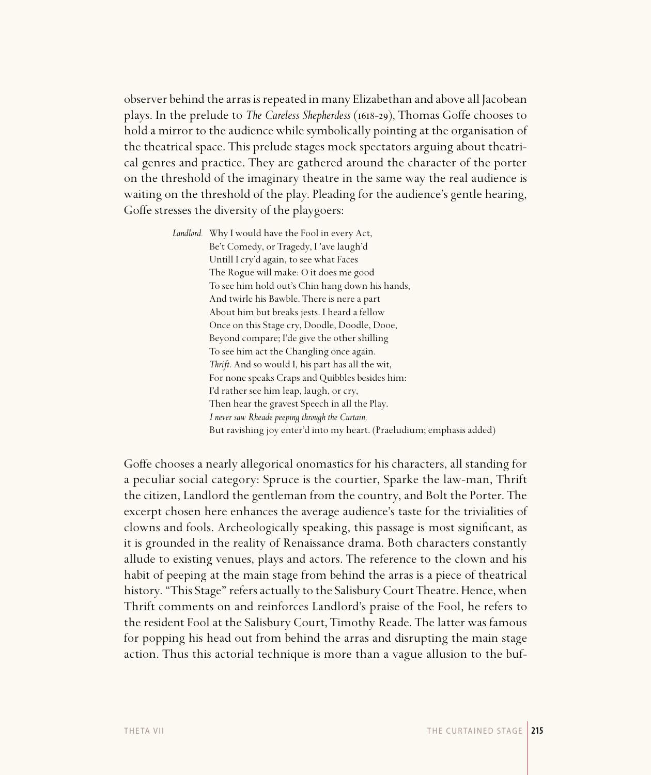observer behind the arras is repeated in many Elizabethan and above all Jacobean plays. In the prelude to *The Careless Shepherdess* (1618-29), Thomas Goffe chooses to hold a mirror to the audience while symbolically pointing at the organisation of the theatrical space. This prelude stages mock spectators arguing about theatrical genres and practice. They are gathered around the character of the porter on the threshold of the imaginary theatre in the same way the real audience is waiting on the threshold of the play. Pleading for the audience's gentle hearing, Goffe stresses the diversity of the playgoers:

> *Landlord.* Why I would have the Fool in every Act, Be't Comedy, or Tragedy, I 'ave laugh'd Untill I cry'd again, to see what Faces The Rogue will make: O it does me good To see him hold out's Chin hang down his hands, And twirle his Bawble. There is nere a part About him but breaks jests. I heard a fellow Once on this Stage cry, Doodle, Doodle, Dooe, Beyond compare; I'de give the other shilling To see him act the Changling once again.  *Thrift*. And so would I, his part has all the wit, For none speaks Craps and Quibbles besides him: I'd rather see him leap, laugh, or cry, Then hear the gravest Speech in all the Play.  *I never saw Rheade peeping through the Curtain,* But ravishing joy enter'd into my heart. (Praeludium; emphasis added)

Goffe chooses a nearly allegorical onomastics for his characters, all standing for a peculiar social category: Spruce is the courtier, Sparke the law-man, Thrift the citizen, Landlord the gentleman from the country, and Bolt the Porter. The excerpt chosen here enhances the average audience's taste for the trivialities of clowns and fools. Archeologically speaking, this passage is most significant, as it is grounded in the reality of Renaissance drama. Both characters constantly allude to existing venues, plays and actors. The reference to the clown and his habit of peeping at the main stage from behind the arras is a piece of theatrical history. "This Stage" refers actually to the Salisbury Court Theatre. Hence, when Thrift comments on and reinforces Landlord's praise of the Fool, he refers to the resident Fool at the Salisbury Court, Timothy Reade. The latter was famous for popping his head out from behind the arras and disrupting the main stage action. Thus this actorial technique is more than a vague allusion to the buf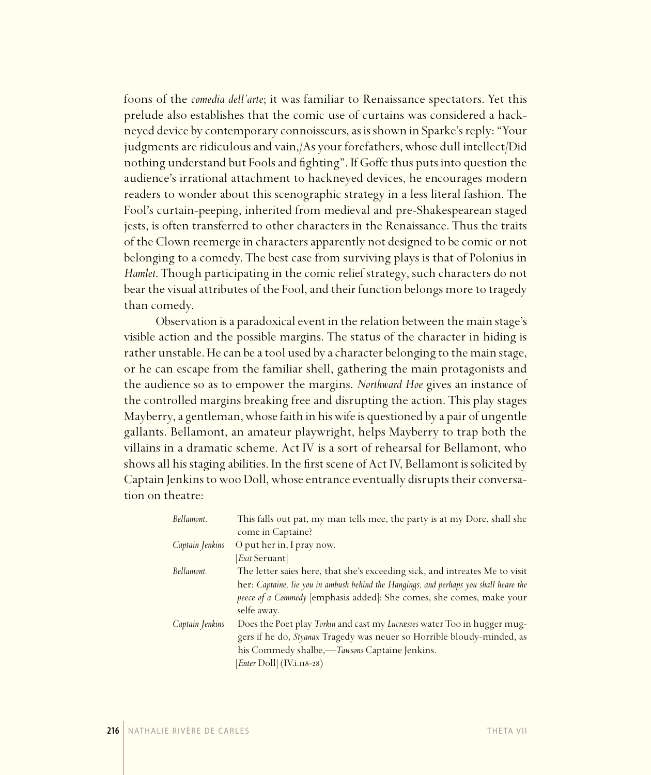foons of the *comedia dell'arte*; it was familiar to Renaissance spectators. Yet this prelude also establishes that the comic use of curtains was considered a hackneyed device by contemporary connoisseurs, as is shown in Sparke's reply: "Your judgments are ridiculous and vain,/As your forefathers, whose dull intellect/Did nothing understand but Fools and fighting". If Goffe thus puts into question the audience's irrational attachment to hackneyed devices, he encourages modern readers to wonder about this scenographic strategy in a less literal fashion. The Fool's curtain-peeping, inherited from medieval and pre-Shakespearean staged jests, is often transferred to other characters in the Renaissance. Thus the traits of the Clown reemerge in characters apparently not designed to be comic or not belonging to a comedy. The best case from surviving plays is that of Polonius in *Hamlet*. Though participating in the comic relief strategy, such characters do not bear the visual attributes of the Fool, and their function belongs more to tragedy than comedy.

Observation is a paradoxical event in the relation between the main stage's visible action and the possible margins. The status of the character in hiding is rather unstable. He can be a tool used by a character belonging to the main stage, or he can escape from the familiar shell, gathering the main protagonists and the audience so as to empower the margins. *Northward Hoe* gives an instance of the controlled margins breaking free and disrupting the action. This play stages Mayberry, a gentleman, whose faith in his wife is questioned by a pair of ungentle gallants. Bellamont, an amateur playwright, helps Mayberry to trap both the villains in a dramatic scheme. Act IV is a sort of rehearsal for Bellamont, who shows all his staging abilities. In the first scene of Act IV, Bellamont is solicited by Captain Jenkins to woo Doll, whose entrance eventually disrupts their conversation on theatre:

| Bellamont.       | This falls out pat, my man tells mee, the party is at my Dore, shall she<br>come in Captaine?                                                                                                       |
|------------------|-----------------------------------------------------------------------------------------------------------------------------------------------------------------------------------------------------|
| Captain Jenkins. | O put her in, I pray now.<br>[ <i>Exit</i> Seruant]                                                                                                                                                 |
| Bellamont.       | The letter saies here, that she's exceeding sick, and intreates Me to visit                                                                                                                         |
|                  | her: Captaine, lie you in ambush behind the Hangings, and perhaps you shall heare the<br>peece of a Commedy [emphasis added]: She comes, she comes, make your<br>selfe away.                        |
| Captain Jenkins. | Does the Poet play Torkin and cast my Lucræsies water Too in hugger mug-<br>gers if he do, Styanax Tragedy was neuer so Horrible bloudy-minded, as<br>his Commedy shalbe,—Tawsons Captaine Jenkins. |
|                  | Enter Doll (IV.i.118-28)                                                                                                                                                                            |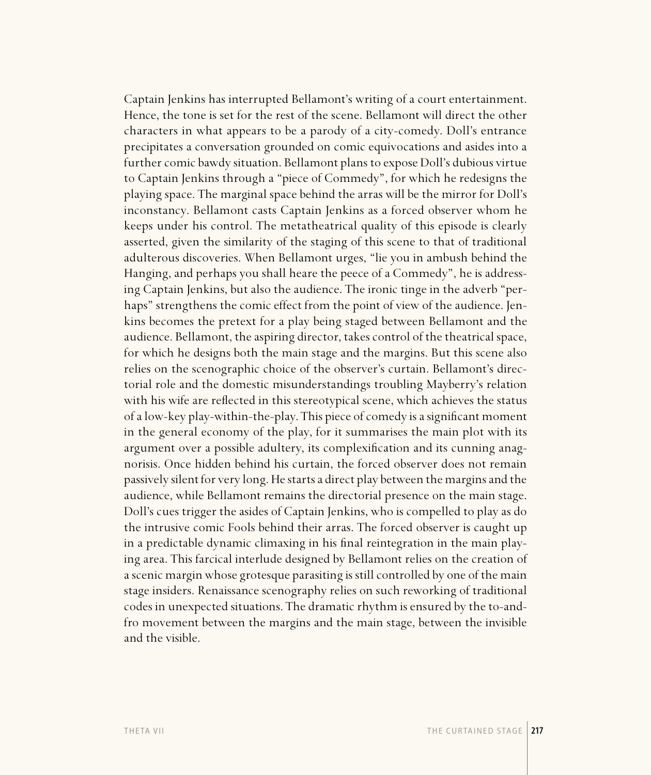Captain Jenkins has interrupted Bellamont's writing of a court entertainment. Hence, the tone is set for the rest of the scene. Bellamont will direct the other characters in what appears to be a parody of a city-comedy. Doll's entrance precipitates a conversation grounded on comic equivocations and asides into a further comic bawdy situation. Bellamont plans to expose Doll's dubious virtue to Captain Jenkins through a "piece of Commedy", for which he redesigns the playing space. The marginal space behind the arras will be the mirror for Doll's inconstancy. Bellamont casts Captain Jenkins as a forced observer whom he keeps under his control. The metatheatrical quality of this episode is clearly asserted, given the similarity of the staging of this scene to that of traditional adulterous discoveries. When Bellamont urges, "lie you in ambush behind the Hanging, and perhaps you shall heare the peece of a Commedy", he is addressing Captain Jenkins, but also the audience. The ironic tinge in the adverb "perhaps" strengthens the comic effect from the point of view of the audience. Jenkins becomes the pretext for a play being staged between Bellamont and the audience. Bellamont, the aspiring director, takes control of the theatrical space, for which he designs both the main stage and the margins. But this scene also relies on the scenographic choice of the observer's curtain. Bellamont's directorial role and the domestic misunderstandings troubling Mayberry's relation with his wife are reflected in this stereotypical scene, which achieves the status of a low-key play-within-the-play. This piece of comedy is a significant moment in the general economy of the play, for it summarises the main plot with its argument over a possible adultery, its complexification and its cunning anagnorisis. Once hidden behind his curtain, the forced observer does not remain passively silent for very long. He starts a direct play between the margins and the audience, while Bellamont remains the directorial presence on the main stage. Doll's cues trigger the asides of Captain Jenkins, who is compelled to play as do the intrusive comic Fools behind their arras. The forced observer is caught up in a predictable dynamic climaxing in his final reintegration in the main playing area. This farcical interlude designed by Bellamont relies on the creation of a scenic margin whose grotesque parasiting is still controlled by one of the main stage insiders. Renaissance scenography relies on such reworking of traditional codes in unexpected situations. The dramatic rhythm is ensured by the to-andfro movement between the margins and the main stage, between the invisible and the visible.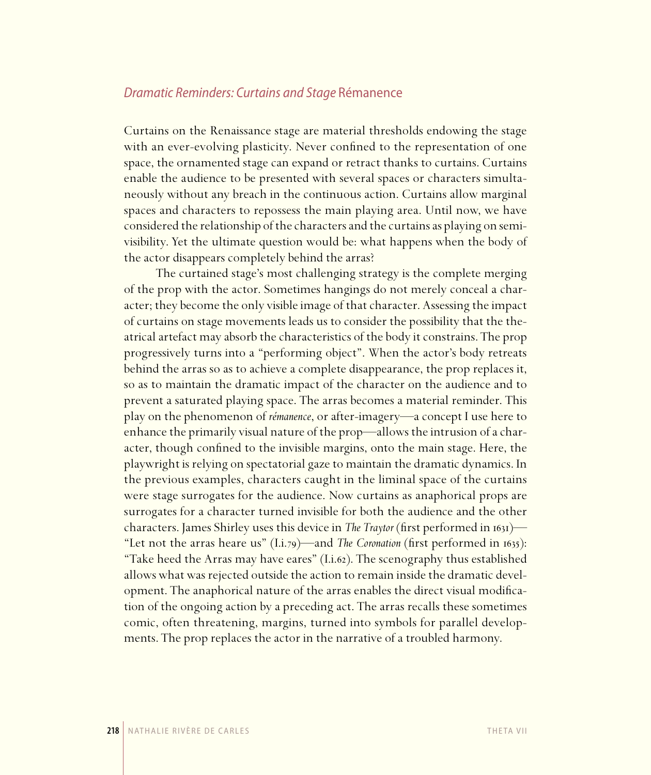## Dramatic Reminders: Curtains and Stage Rémanence

Curtains on the Renaissance stage are material thresholds endowing the stage with an ever-evolving plasticity. Never confined to the representation of one space, the ornamented stage can expand or retract thanks to curtains. Curtains enable the audience to be presented with several spaces or characters simultaneously without any breach in the continuous action. Curtains allow marginal spaces and characters to repossess the main playing area. Until now, we have considered the relationship of the characters and the curtains as playing on semivisibility. Yet the ultimate question would be: what happens when the body of the actor disappears completely behind the arras?

The curtained stage's most challenging strategy is the complete merging of the prop with the actor. Sometimes hangings do not merely conceal a character; they become the only visible image of that character. Assessing the impact of curtains on stage movements leads us to consider the possibility that the theatrical artefact may absorb the characteristics of the body it constrains. The prop progressively turns into a "performing object". When the actor's body retreats behind the arras so as to achieve a complete disappearance, the prop replaces it, so as to maintain the dramatic impact of the character on the audience and to prevent a saturated playing space. The arras becomes a material reminder. This play on the phenomenon of *rémanence*, or after-imagery—a concept I use here to enhance the primarily visual nature of the prop—allows the intrusion of a character, though confined to the invisible margins, onto the main stage. Here, the playwright is relying on spectatorial gaze to maintain the dramatic dynamics. In the previous examples, characters caught in the liminal space of the curtains were stage surrogates for the audience. Now curtains as anaphorical props are surrogates for a character turned invisible for both the audience and the other characters. James Shirley uses this device in *The Traytor* (first performed in 1631)— "Let not the arras heare us"  $(I.i.79)$ —and *The Coronation* (first performed in 1635): "Take heed the Arras may have eares"  $(I.i.62)$ . The scenography thus established allows what was rejected outside the action to remain inside the dramatic development. The anaphorical nature of the arras enables the direct visual modification of the ongoing action by a preceding act. The arras recalls these sometimes comic, often threatening, margins, turned into symbols for parallel developments. The prop replaces the actor in the narrative of a troubled harmony.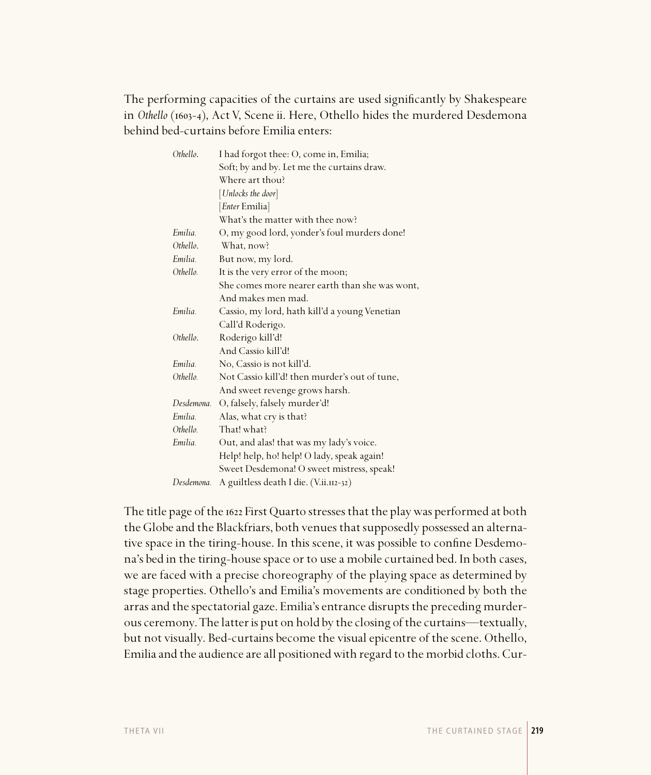The performing capacities of the curtains are used significantly by Shakespeare in Othello (1603-4), Act V, Scene ii. Here, Othello hides the murdered Desdemona behind bed-curtains before Emilia enters:

| Othello.   | I had forgot thee: O, come in, Emilia;         |
|------------|------------------------------------------------|
|            | Soft; by and by. Let me the curtains draw.     |
|            | Where art thou?                                |
|            | [Unlocks the door]                             |
|            | [ <i>Enter</i> Emilia]                         |
|            | What's the matter with thee now?               |
| Emilia     | O, my good lord, yonder's foul murders done!   |
| Othello.   | What, now?                                     |
| Emilia.    | But now, my lord.                              |
| Othello.   | It is the very error of the moon;              |
|            | She comes more nearer earth than she was wont, |
|            | And makes men mad.                             |
| Emilia.    | Cassio, my lord, hath kill'd a young Venetian  |
|            | Call'd Roderigo.                               |
| Othello.   | Roderigo kill'd!                               |
|            | And Cassio kill'd!                             |
| Emilia.    | No, Cassio is not kill'd.                      |
| Othello.   | Not Cassio kill'd! then murder's out of tune,  |
|            | And sweet revenge grows harsh.                 |
| Desdemona. | O, falsely, falsely murder'd!                  |
| Emilia.    | Alas, what cry is that?                        |
| Othello.   | That! what?                                    |
| Emilia.    | Out, and alas! that was my lady's voice.       |
|            | Help! help, ho! help! O lady, speak again!     |
|            | Sweet Desdemona! O sweet mistress, speak!      |
| Desdemona. | A guiltless death I die. (V.ii.112-32)         |

The title page of the 1622 First Quarto stresses that the play was performed at both the Globe and the Blackfriars, both venues that supposedly possessed an alternative space in the tiring-house. In this scene, it was possible to confine Desdemona's bed in the tiring-house space or to use a mobile curtained bed. In both cases, we are faced with a precise choreography of the playing space as determined by stage properties. Othello's and Emilia's movements are conditioned by both the arras and the spectatorial gaze. Emilia's entrance disrupts the preceding murderous ceremony. The latter is put on hold by the closing of the curtains—textually, but not visually. Bed-curtains become the visual epicentre of the scene. Othello, Emilia and the audience are all positioned with regard to the morbid cloths. Cur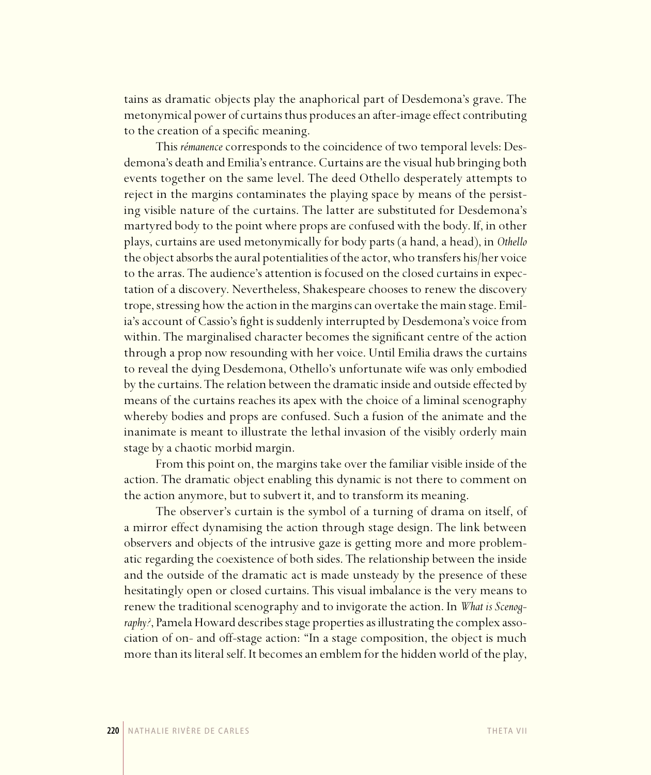tains as dramatic objects play the anaphorical part of Desdemona's grave. The metonymical power of curtains thus produces an after-image effect contributing to the creation of a specific meaning.

This *rémanence* corresponds to the coincidence of two temporal levels: Desdemona's death and Emilia's entrance. Curtains are the visual hub bringing both events together on the same level. The deed Othello desperately attempts to reject in the margins contaminates the playing space by means of the persisting visible nature of the curtains. The latter are substituted for Desdemona's martyred body to the point where props are confused with the body. If, in other plays, curtains are used metonymically for body parts (a hand, a head), in *Othello*  the object absorbs the aural potentialities of the actor, who transfers his/her voice to the arras. The audience's attention is focused on the closed curtains in expectation of a discovery. Nevertheless, Shakespeare chooses to renew the discovery trope, stressing how the action in the margins can overtake the main stage. Emilia's account of Cassio's fight is suddenly interrupted by Desdemona's voice from within. The marginalised character becomes the significant centre of the action through a prop now resounding with her voice. Until Emilia draws the curtains to reveal the dying Desdemona, Othello's unfortunate wife was only embodied by the curtains. The relation between the dramatic inside and outside effected by means of the curtains reaches its apex with the choice of a liminal scenography whereby bodies and props are confused. Such a fusion of the animate and the inanimate is meant to illustrate the lethal invasion of the visibly orderly main stage by a chaotic morbid margin.

From this point on, the margins take over the familiar visible inside of the action. The dramatic object enabling this dynamic is not there to comment on the action anymore, but to subvert it, and to transform its meaning.

The observer's curtain is the symbol of a turning of drama on itself, of a mirror effect dynamising the action through stage design. The link between observers and objects of the intrusive gaze is getting more and more problematic regarding the coexistence of both sides. The relationship between the inside and the outside of the dramatic act is made unsteady by the presence of these hesitatingly open or closed curtains. This visual imbalance is the very means to renew the traditional scenography and to invigorate the action. In *What is Scenography?*, Pamela Howard describes stage properties as illustrating the complex association of on- and off-stage action: "In a stage composition, the object is much more than its literal self. It becomes an emblem for the hidden world of the play,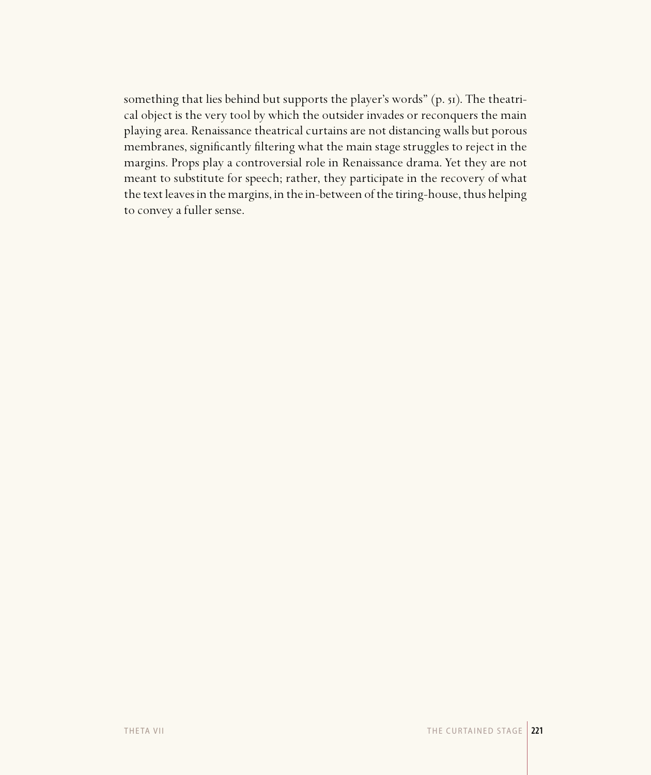something that lies behind but supports the player's words" (p. 51). The theatrical object is the very tool by which the outsider invades or reconquers the main playing area. Renaissance theatrical curtains are not distancing walls but porous membranes, significantly filtering what the main stage struggles to reject in the margins. Props play a controversial role in Renaissance drama. Yet they are not meant to substitute for speech; rather, they participate in the recovery of what the text leaves in the margins, in the in-between of the tiring-house, thus helping to convey a fuller sense.